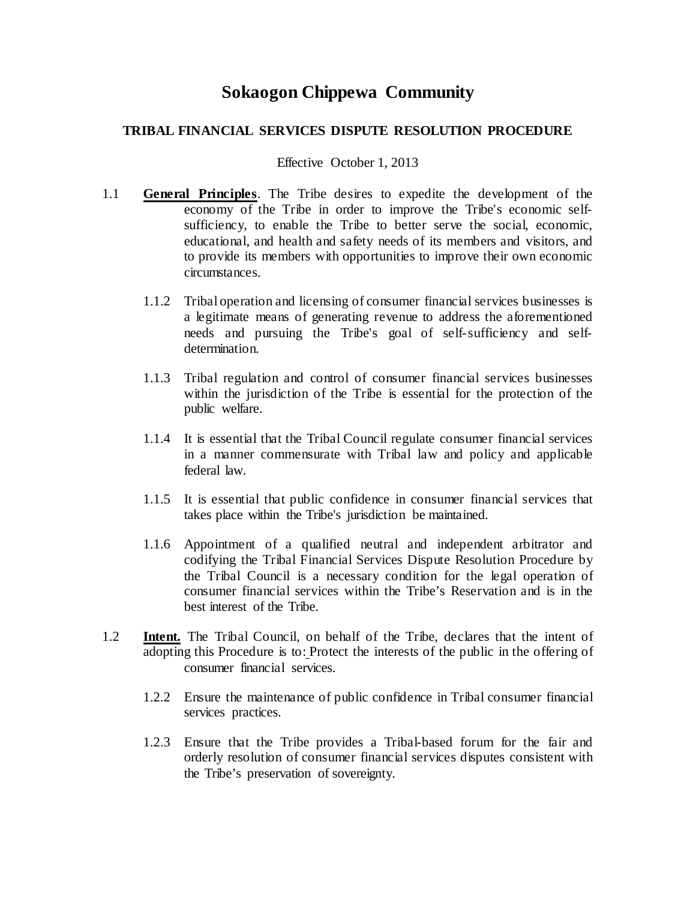# **Sokaogon Chippewa Community**

## **TRIBAL FINANCIAL SERVICES DISPUTE RESOLUTION PROCEDURE**

#### Effective October 1, 2013

- 1.1 **General Principles**. The Tribe desires to expedite the development of the economy of the Tribe in order to improve the Tribe's economic selfsufficiency, to enable the Tribe to better serve the social, economic, educational, and health and safety needs of its members and visitors, and to provide its members with opportunities to improve their own economic circumstances.
	- 1.1.2 Tribal operation and licensing of consumer financial services businesses is a legitimate means of generating revenue to address the aforementioned needs and pursuing the Tribe's goal of self-sufficiency and selfdetermination.
	- 1.1.3 Tribal regulation and control of consumer financial services businesses within the jurisdiction of the Tribe is essential for the protection of the public welfare.
	- 1.1.4 It is essential that the Tribal Council regulate consumer financial services in a manner commensurate with Tribal law and policy and applicable federal law.
	- 1.1.5 It is essential that public confidence in consumer financial services that takes place within the Tribe's jurisdiction be maintained.
	- 1.1.6 Appointment of a qualified neutral and independent arbitrator and codifying the Tribal Financial Services Dispute Resolution Procedure by the Tribal Council is a necessary condition for the legal operation of consumer financial services within the Tribe's Reservation and is in the best interest of the Tribe.
- 1.2 **Intent.** The Tribal Council, on behalf of the Tribe, declares that the intent of adopting this Procedure is to: Protect the interests of the public in the offering of consumer financial services.
	- 1.2.2 Ensure the maintenance of public confidence in Tribal consumer financial services practices.
	- 1.2.3 Ensure that the Tribe provides a Tribal-based forum for the fair and orderly resolution of consumer financial services disputes consistent with the Tribe's preservation of sovereignty.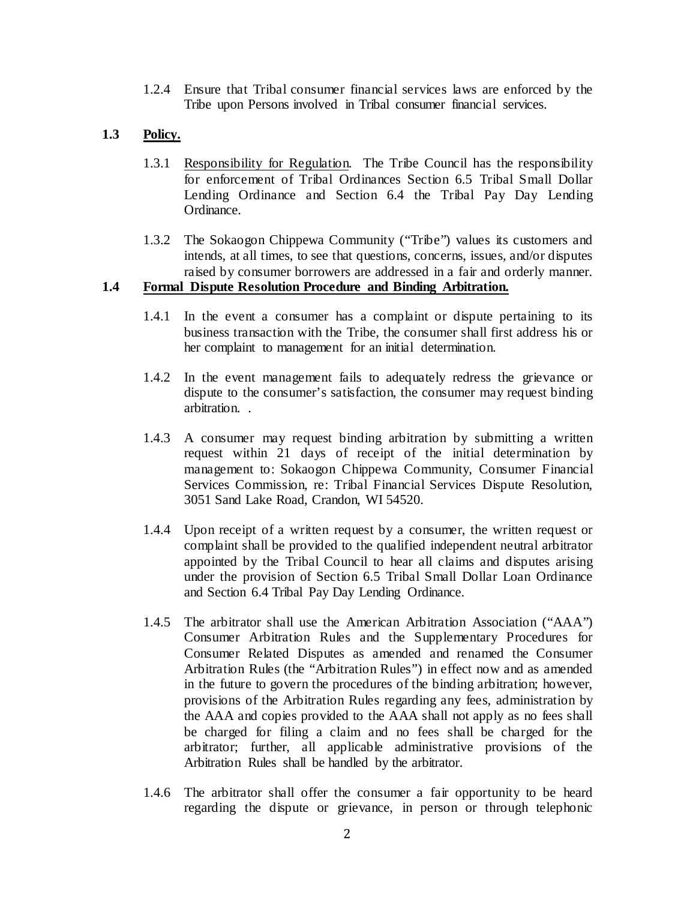1.2.4 Ensure that Tribal consumer financial services laws are enforced by the Tribe upon Persons involved in Tribal consumer financial services.

## **1.3 Policy.**

- 1.3.1 Responsibility for Regulation. The Tribe Council has the responsibility for enforcement of Tribal Ordinances Section 6.5 Tribal Small Dollar Lending Ordinance and Section 6.4 the Tribal Pay Day Lending Ordinance.
- 1.3.2 The Sokaogon Chippewa Community ("Tribe") values its customers and intends, at all times, to see that questions, concerns, issues, and/or disputes raised by consumer borrowers are addressed in a fair and orderly manner.

### **1.4 Formal Dispute Resolution Procedure and Binding Arbitration.**

- 1.4.1 In the event a consumer has a complaint or dispute pertaining to its business transaction with the Tribe, the consumer shall first address his or her complaint to management for an initial determination.
- 1.4.2 In the event management fails to adequately redress the grievance or dispute to the consumer's satisfaction, the consumer may request binding arbitration. .
- 1.4.3 A consumer may request binding arbitration by submitting a written request within 21 days of receipt of the initial determination by management to: Sokaogon Chippewa Community, Consumer Financial Services Commission, re: Tribal Financial Services Dispute Resolution, 3051 Sand Lake Road, Crandon, WI 54520.
- 1.4.4 Upon receipt of a written request by a consumer, the written request or complaint shall be provided to the qualified independent neutral arbitrator appointed by the Tribal Council to hear all claims and disputes arising under the provision of Section 6.5 Tribal Small Dollar Loan Ordinance and Section 6.4 Tribal Pay Day Lending Ordinance.
- 1.4.5 The arbitrator shall use the American Arbitration Association ("AAA") Consumer Arbitration Rules and the Supplementary Procedures for Consumer Related Disputes as amended and renamed the Consumer Arbitration Rules (the "Arbitration Rules") in effect now and as amended in the future to govern the procedures of the binding arbitration; however, provisions of the Arbitration Rules regarding any fees, administration by the AAA and copies provided to the AAA shall not apply as no fees shall be charged for filing a claim and no fees shall be charged for the arbitrator; further, all applicable administrative provisions of the Arbitration Rules shall be handled by the arbitrator.
- 1.4.6 The arbitrator shall offer the consumer a fair opportunity to be heard regarding the dispute or grievance, in person or through telephonic